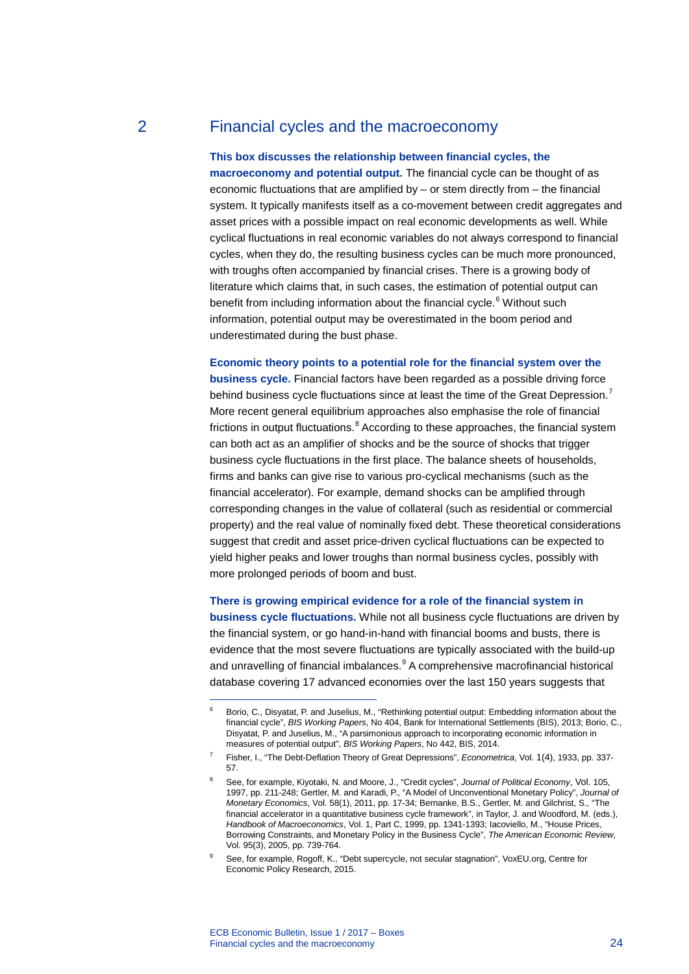# 2 Financial cycles and the macroeconomy

## **This box discusses the relationship between financial cycles, the**

**macroeconomy and potential output.** The financial cycle can be thought of as economic fluctuations that are amplified by – or stem directly from – the financial system. It typically manifests itself as a co-movement between credit aggregates and asset prices with a possible impact on real economic developments as well. While cyclical fluctuations in real economic variables do not always correspond to financial cycles, when they do, the resulting business cycles can be much more pronounced, with troughs often accompanied by financial crises. There is a growing body of literature which claims that, in such cases, the estimation of potential output can benefit from including information about the financial cycle.<sup>[6](#page-0-0)</sup> Without such information, potential output may be overestimated in the boom period and underestimated during the bust phase.

**Economic theory points to a potential role for the financial system over the business cycle.** Financial factors have been regarded as a possible driving force behind business cycle fluctuations since at least the time of the Great Depression.<sup>[7](#page-0-1)</sup> More recent general equilibrium approaches also emphasise the role of financial frictions in output fluctuations.<sup>[8](#page-0-2)</sup> According to these approaches, the financial system can both act as an amplifier of shocks and be the source of shocks that trigger business cycle fluctuations in the first place. The balance sheets of households, firms and banks can give rise to various pro-cyclical mechanisms (such as the financial accelerator). For example, demand shocks can be amplified through corresponding changes in the value of collateral (such as residential or commercial property) and the real value of nominally fixed debt. These theoretical considerations suggest that credit and asset price-driven cyclical fluctuations can be expected to yield higher peaks and lower troughs than normal business cycles, possibly with more prolonged periods of boom and bust.

**There is growing empirical evidence for a role of the financial system in business cycle fluctuations.** While not all business cycle fluctuations are driven by the financial system, or go hand-in-hand with financial booms and busts, there is evidence that the most severe fluctuations are typically associated with the build-up and unravelling of financial imbalances.<sup>[9](#page-0-3)</sup> A comprehensive macrofinancial historical database covering 17 advanced economies over the last 150 years suggests that

<span id="page-0-0"></span>-

<sup>6</sup> Borio, C., Disyatat, P. and Juselius, M., "Rethinking potential output: Embedding information about the financial cycle", *BIS Working Papers*, No 404, Bank for International Settlements (BIS), 2013; Borio, C., Disyatat, P. and Juselius, M., "A parsimonious approach to incorporating economic information in measures of potential output", *BIS Working Papers*, No 442, BIS, 2014.

<span id="page-0-1"></span><sup>7</sup> Fisher, I., "The Debt-Deflation Theory of Great Depressions", *Econometrica*, Vol. 1(4), 1933, pp. 337- 57.

<span id="page-0-2"></span><sup>8</sup> See, for example, Kiyotaki, N. and Moore, J., "Credit cycles", *Journal of Political Economy*, Vol. 105, 1997, pp. 211-248; Gertler, M. and Karadi, P., "A Model of Unconventional Monetary Policy", *Journal of Monetary Economics*, Vol. 58(1), 2011, pp. 17-34; Bernanke, B.S., Gertler, M. and Gilchrist, S., "The financial accelerator in a quantitative business cycle framework", in Taylor, J. and Woodford, M. (eds.), *Handbook of Macroeconomics*, Vol. 1, Part C, 1999, pp. 1341-1393; Iacoviello, M., "House Prices, Borrowing Constraints, and Monetary Policy in the Business Cycle", *The American Economic Review*, Vol. 95(3), 2005, pp. 739-764.

<span id="page-0-3"></span><sup>9</sup> See, for example, Rogoff, K., "Debt supercycle, not secular stagnation"[, VoxEU.org,](http://voxeu.org/) Centre for Economic Policy Research, 2015.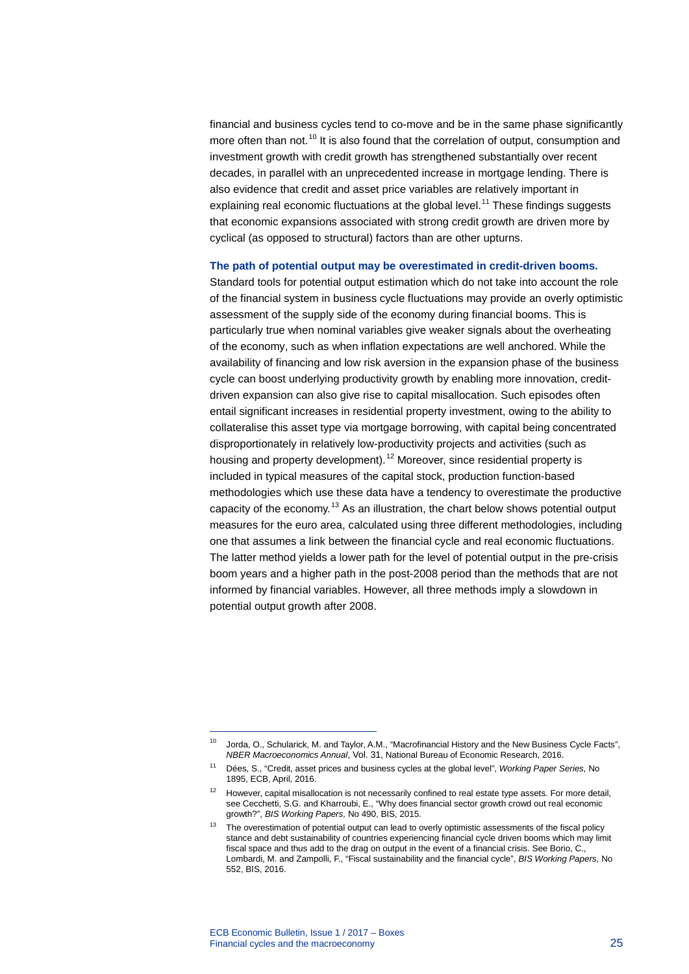financial and business cycles tend to co-move and be in the same phase significantly more often than not.<sup>[10](#page-1-0)</sup> It is also found that the correlation of output, consumption and investment growth with credit growth has strengthened substantially over recent decades, in parallel with an unprecedented increase in mortgage lending. There is also evidence that credit and asset price variables are relatively important in explaining real economic fluctuations at the global level.<sup>[11](#page-1-1)</sup> These findings suggests that economic expansions associated with strong credit growth are driven more by cyclical (as opposed to structural) factors than are other upturns.

#### **The path of potential output may be overestimated in credit-driven booms.**

Standard tools for potential output estimation which do not take into account the role of the financial system in business cycle fluctuations may provide an overly optimistic assessment of the supply side of the economy during financial booms. This is particularly true when nominal variables give weaker signals about the overheating of the economy, such as when inflation expectations are well anchored. While the availability of financing and low risk aversion in the expansion phase of the business cycle can boost underlying productivity growth by enabling more innovation, creditdriven expansion can also give rise to capital misallocation. Such episodes often entail significant increases in residential property investment, owing to the ability to collateralise this asset type via mortgage borrowing, with capital being concentrated disproportionately in relatively low-productivity projects and activities (such as housing and property development).<sup>[12](#page-1-2)</sup> Moreover, since residential property is included in typical measures of the capital stock, production function-based methodologies which use these data have a tendency to overestimate the productive capacity of the economy.<sup>[13](#page-1-3)</sup> As an illustration, the chart below shows potential output measures for the euro area, calculated using three different methodologies, including one that assumes a link between the financial cycle and real economic fluctuations. The latter method yields a lower path for the level of potential output in the pre-crisis boom years and a higher path in the post-2008 period than the methods that are not informed by financial variables. However, all three methods imply a slowdown in potential output growth after 2008.

-

<span id="page-1-0"></span><sup>&</sup>lt;sup>10</sup> Jorda, O., Schularick, M. and Taylor, A.M., "Macrofinancial History and the New Business Cycle Facts", *NBER Macroeconomics Annual*, Vol. 31, National Bureau of Economic Research, 2016.

<sup>11</sup> Dées, S., "Credit, asset prices and business cycles at the global level", *Working Paper Series*, No 1895, ECB, April, 2016.

<span id="page-1-2"></span><span id="page-1-1"></span><sup>&</sup>lt;sup>12</sup> However, capital misallocation is not necessarily confined to real estate type assets. For more detail, see Cecchetti, S.G. and Kharroubi, E., "Why does financial sector growth crowd out real economic growth?", *BIS Working Papers*, No 490, BIS, 2015.

<span id="page-1-3"></span><sup>&</sup>lt;sup>13</sup> The overestimation of potential output can lead to overly optimistic assessments of the fiscal policy stance and debt sustainability of countries experiencing financial cycle driven booms which may limit fiscal space and thus add to the drag on output in the event of a financial crisis. See Borio, C., Lombardi, M. and Zampolli, F., "Fiscal sustainability and the financial cycle", *BIS Working Papers*, No 552, BIS, 2016.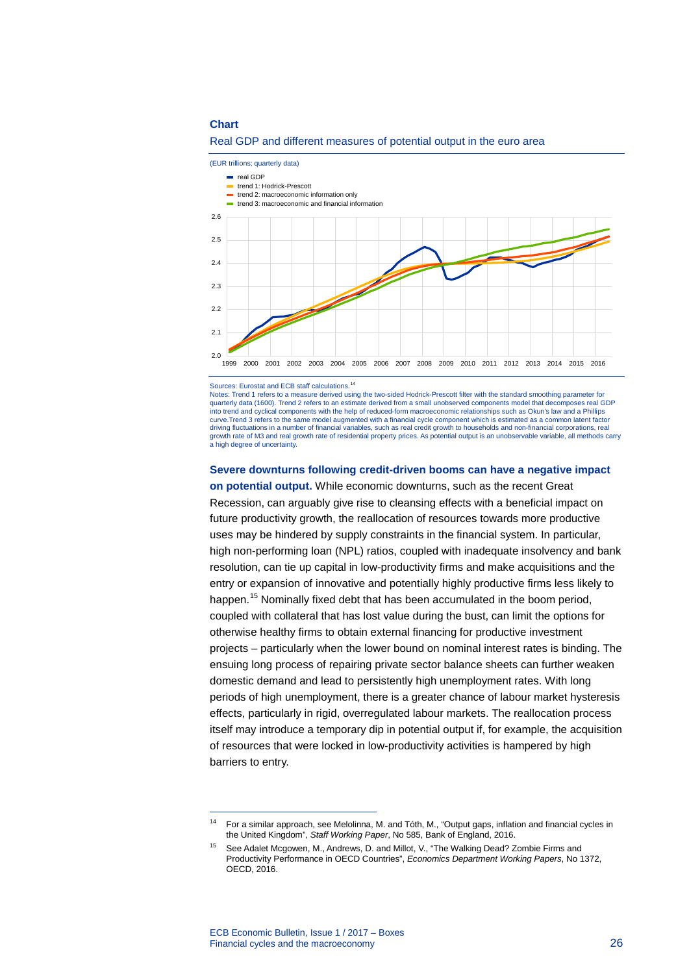#### **Chart**



Real GDP and different measures of potential output in the euro area

Sources: Eurostat and ECB staff calculations.<sup>[14](#page-2-0)</sup>

Notes: Trend 1 refers to a measure derived using the two-sided Hodrick-Prescott filter with the standard smoothing parameter for quarterly data (1600). Trend 2 refers to an estimate derived from a small unobserved components model that decomposes real GDP into trend and cyclical components with the help of reduced-form macroeconomic relationships such as Okun's law and a Phillips curve.Trend 3 refers to the same model augmented with a financial cycle component which is estimated as a common latent factor driving fluctuations in a number of financial variables, such as real credit growth to households and non-financial corporations, real growth rate of M3 and real growth rate of residential property prices. As potential output is an unobservable variable, all methods carry a high degree of uncertainty.

### **Severe downturns following credit-driven booms can have a negative impact**

**on potential output.** While economic downturns, such as the recent Great Recession, can arguably give rise to cleansing effects with a beneficial impact on future productivity growth, the reallocation of resources towards more productive uses may be hindered by supply constraints in the financial system. In particular, high non-performing loan (NPL) ratios, coupled with inadequate insolvency and bank resolution, can tie up capital in low-productivity firms and make acquisitions and the entry or expansion of innovative and potentially highly productive firms less likely to happen. [15](#page-2-1) Nominally fixed debt that has been accumulated in the boom period, coupled with collateral that has lost value during the bust, can limit the options for otherwise healthy firms to obtain external financing for productive investment projects – particularly when the lower bound on nominal interest rates is binding. The ensuing long process of repairing private sector balance sheets can further weaken domestic demand and lead to persistently high unemployment rates. With long periods of high unemployment, there is a greater chance of labour market hysteresis effects, particularly in rigid, overregulated labour markets. The reallocation process itself may introduce a temporary dip in potential output if, for example, the acquisition of resources that were locked in low-productivity activities is hampered by high barriers to entry.

-

<span id="page-2-0"></span><sup>14</sup> For a similar approach, see Melolinna, M. and Tóth, M., "Output gaps, inflation and financial cycles in the United Kingdom", *Staff Working Paper*, No 585, Bank of England, 2016.

<span id="page-2-1"></span><sup>&</sup>lt;sup>15</sup> See Adalet Mcgowen, M., Andrews, D. and Millot, V., "The Walking Dead? Zombie Firms and Productivity Performance in OECD Countries", *Economics Department Working Papers*, No 1372, OECD, 2016.